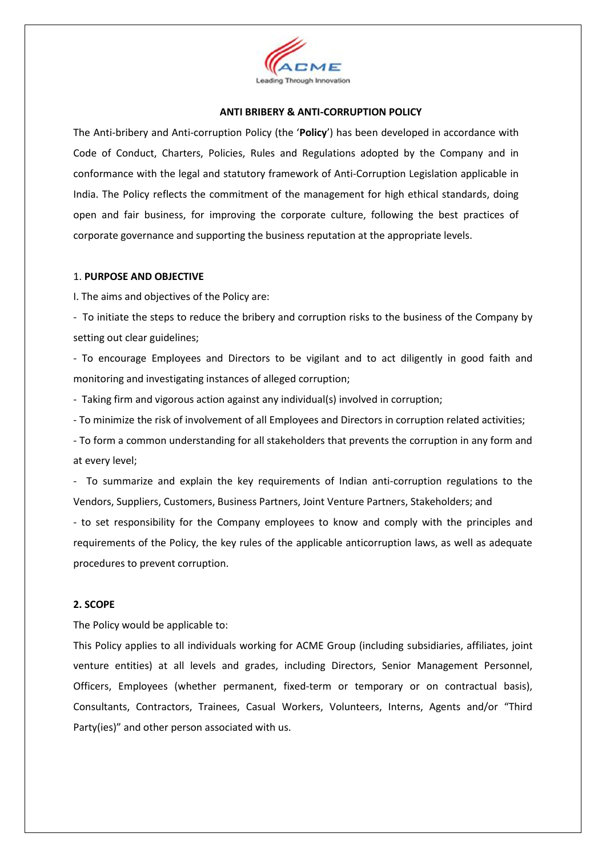

#### **ANTI BRIBERY & ANTI‐CORRUPTION POLICY**

The Anti‐bribery and Anti‐corruption Policy (the '**Policy**') has been developed in accordance with Code of Conduct, Charters, Policies, Rules and Regulations adopted by the Company and in conformance with the legal and statutory framework of Anti‐Corruption Legislation applicable in India. The Policy reflects the commitment of the management for high ethical standards, doing open and fair business, for improving the corporate culture, following the best practices of corporate governance and supporting the business reputation at the appropriate levels.

#### 1. **PURPOSE AND OBJECTIVE**

I. The aims and objectives of the Policy are:

- To initiate the steps to reduce the bribery and corruption risks to the business of the Company by setting out clear guidelines;

- To encourage Employees and Directors to be vigilant and to act diligently in good faith and monitoring and investigating instances of alleged corruption;

- Taking firm and vigorous action against any individual(s) involved in corruption;

- To minimize the risk of involvement of all Employees and Directors in corruption related activities;

- To form a common understanding for all stakeholders that prevents the corruption in any form and at every level;

- To summarize and explain the key requirements of Indian anti‐corruption regulations to the Vendors, Suppliers, Customers, Business Partners, Joint Venture Partners, Stakeholders; and

- to set responsibility for the Company employees to know and comply with the principles and requirements of the Policy, the key rules of the applicable anticorruption laws, as well as adequate procedures to prevent corruption.

#### **2. SCOPE**

The Policy would be applicable to:

This Policy applies to all individuals working for ACME Group (including subsidiaries, affiliates, joint venture entities) at all levels and grades, including Directors, Senior Management Personnel, Officers, Employees (whether permanent, fixed-term or temporary or on contractual basis), Consultants, Contractors, Trainees, Casual Workers, Volunteers, Interns, Agents and/or "Third Party(ies)" and other person associated with us.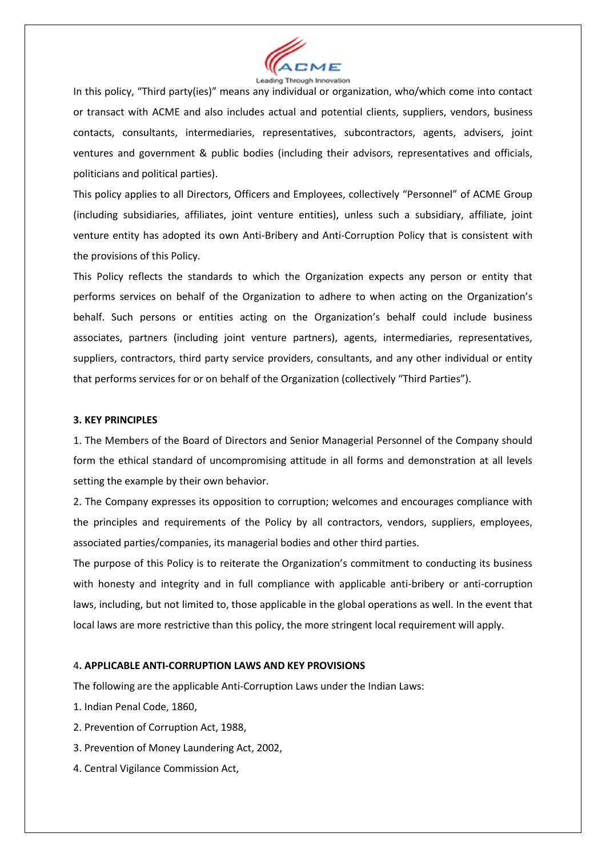

In this policy, "Third party(ies)" means any individual or organization, who/which come into contact or transact with ACME and also includes actual and potential clients, suppliers, vendors, business contacts, consultants, intermediaries, representatives, subcontractors, agents, advisers, joint ventures and government & public bodies (including their advisors, representatives and officials, politicians and political parties).

This policy applies to all Directors, Officers and Employees, collectively "Personnel" of ACME Group (including subsidiaries, affiliates, joint venture entities), unless such a subsidiary, affiliate, joint venture entity has adopted its own Anti-Bribery and Anti-Corruption Policy that is consistent with the provisions of this Policy.

This Policy reflects the standards to which the Organization expects any person or entity that performs services on behalf of the Organization to adhere to when acting on the Organization's behalf. Such persons or entities acting on the Organization's behalf could include business associates, partners (including joint venture partners), agents, intermediaries, representatives, suppliers, contractors, third party service providers, consultants, and any other individual or entity that performs services for or on behalf of the Organization (collectively "Third Parties").

#### **3. KEY PRINCIPLES**

1. The Members of the Board of Directors and Senior Managerial Personnel of the Company should form the ethical standard of uncompromising attitude in all forms and demonstration at all levels setting the example by their own behavior.

2. The Company expresses its opposition to corruption; welcomes and encourages compliance with the principles and requirements of the Policy by all contractors, vendors, suppliers, employees, associated parties/companies, its managerial bodies and other third parties.

The purpose of this Policy is to reiterate the Organization's commitment to conducting its business with honesty and integrity and in full compliance with applicable anti-bribery or anti-corruption laws, including, but not limited to, those applicable in the global operations as well. In the event that local laws are more restrictive than this policy, the more stringent local requirement will apply.

## 4**. APPLICABLE ANTI‐CORRUPTION LAWS AND KEY PROVISIONS**

The following are the applicable Anti‐Corruption Laws under the Indian Laws:

- 1. Indian Penal Code, 1860,
- 2. Prevention of Corruption Act, 1988,
- 3. Prevention of Money Laundering Act, 2002,
- 4. Central Vigilance Commission Act,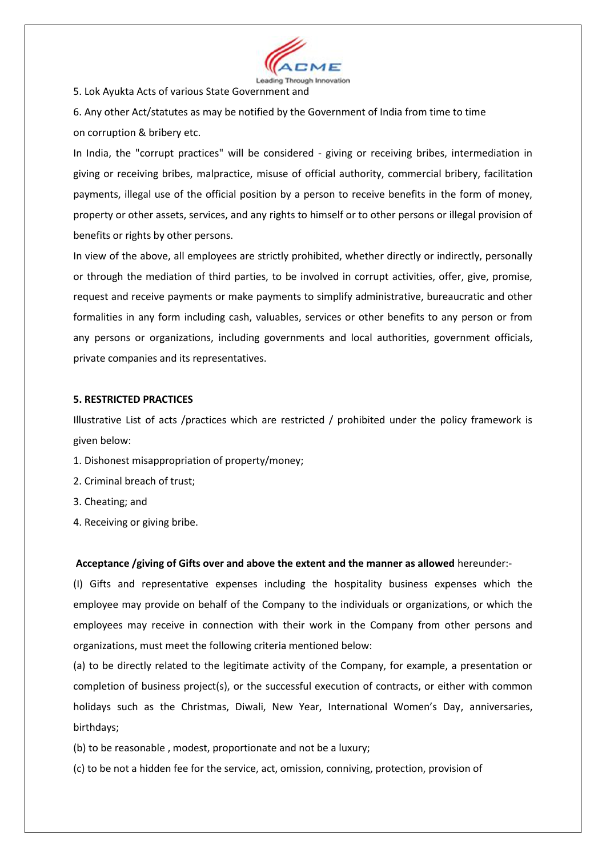

5. Lok Ayukta Acts of various State Government and

6. Any other Act/statutes as may be notified by the Government of India from time to time on corruption & bribery etc.

In India, the "corrupt practices" will be considered - giving or receiving bribes, intermediation in giving or receiving bribes, malpractice, misuse of official authority, commercial bribery, facilitation payments, illegal use of the official position by a person to receive benefits in the form of money, property or other assets, services, and any rights to himself or to other persons or illegal provision of benefits or rights by other persons.

In view of the above, all employees are strictly prohibited, whether directly or indirectly, personally or through the mediation of third parties, to be involved in corrupt activities, offer, give, promise, request and receive payments or make payments to simplify administrative, bureaucratic and other formalities in any form including cash, valuables, services or other benefits to any person or from any persons or organizations, including governments and local authorities, government officials, private companies and its representatives.

#### **5. RESTRICTED PRACTICES**

Illustrative List of acts /practices which are restricted / prohibited under the policy framework is given below:

- 1. Dishonest misappropriation of property/money;
- 2. Criminal breach of trust;
- 3. Cheating; and
- 4. Receiving or giving bribe.

#### **Acceptance /giving of Gifts over and above the extent and the manner as allowed** hereunder:‐

(I) Gifts and representative expenses including the hospitality business expenses which the employee may provide on behalf of the Company to the individuals or organizations, or which the employees may receive in connection with their work in the Company from other persons and organizations, must meet the following criteria mentioned below:

(a) to be directly related to the legitimate activity of the Company, for example, a presentation or completion of business project(s), or the successful execution of contracts, or either with common holidays such as the Christmas, Diwali, New Year, International Women's Day, anniversaries, birthdays;

- (b) to be reasonable , modest, proportionate and not be a luxury;
- (c) to be not a hidden fee for the service, act, omission, conniving, protection, provision of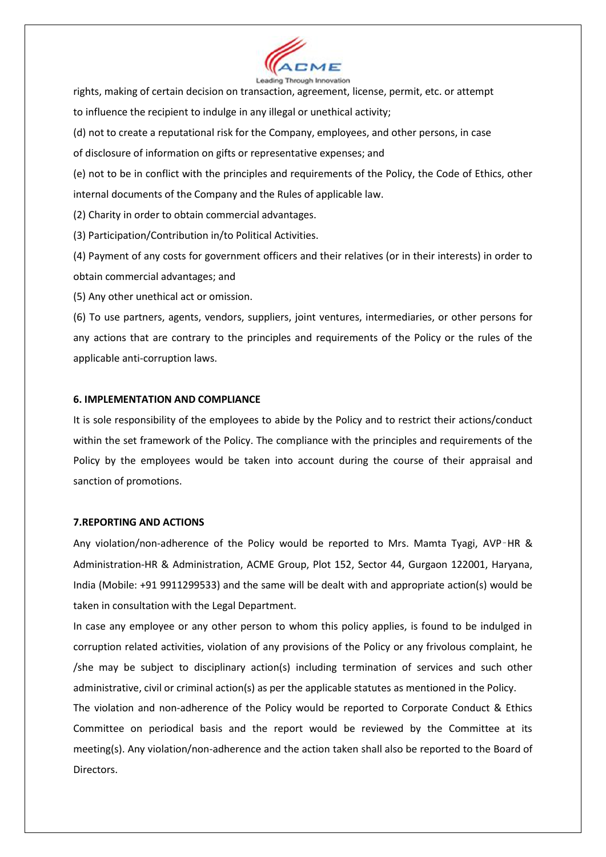

rights, making of certain decision on transaction, agreement, license, permit, etc. or attempt to influence the recipient to indulge in any illegal or unethical activity; (d) not to create a reputational risk for the Company, employees, and other persons, in case

of disclosure of information on gifts or representative expenses; and

(e) not to be in conflict with the principles and requirements of the Policy, the Code of Ethics, other internal documents of the Company and the Rules of applicable law.

(2) Charity in order to obtain commercial advantages.

(3) Participation/Contribution in/to Political Activities.

(4) Payment of any costs for government officers and their relatives (or in their interests) in order to obtain commercial advantages; and

(5) Any other unethical act or omission.

(6) To use partners, agents, vendors, suppliers, joint ventures, intermediaries, or other persons for any actions that are contrary to the principles and requirements of the Policy or the rules of the applicable anti‐corruption laws.

## **6. IMPLEMENTATION AND COMPLIANCE**

It is sole responsibility of the employees to abide by the Policy and to restrict their actions/conduct within the set framework of the Policy. The compliance with the principles and requirements of the Policy by the employees would be taken into account during the course of their appraisal and sanction of promotions.

## **7.REPORTING AND ACTIONS**

Any violation/non-adherence of the Policy would be reported to Mrs. Mamta Tyagi, AVP-HR & Administration‐HR & Administration, ACME Group, Plot 152, Sector 44, Gurgaon 122001, Haryana, India (Mobile: +91 9911299533) and the same will be dealt with and appropriate action(s) would be taken in consultation with the Legal Department.

In case any employee or any other person to whom this policy applies, is found to be indulged in corruption related activities, violation of any provisions of the Policy or any frivolous complaint, he /she may be subject to disciplinary action(s) including termination of services and such other administrative, civil or criminal action(s) as per the applicable statutes as mentioned in the Policy.

The violation and non-adherence of the Policy would be reported to Corporate Conduct & Ethics Committee on periodical basis and the report would be reviewed by the Committee at its meeting(s). Any violation/non-adherence and the action taken shall also be reported to the Board of Directors.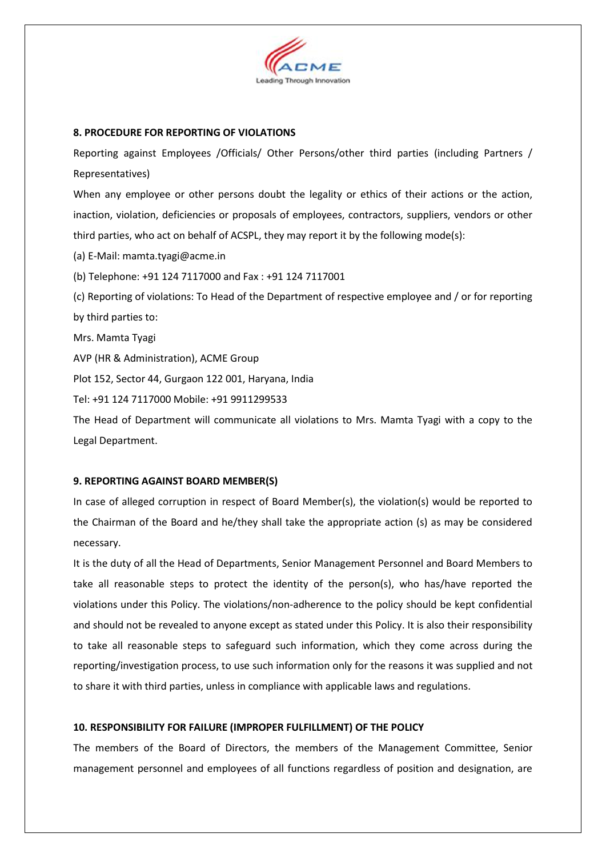

## **8. PROCEDURE FOR REPORTING OF VIOLATIONS**

Reporting against Employees /Officials/ Other Persons/other third parties (including Partners / Representatives)

When any employee or other persons doubt the legality or ethics of their actions or the action, inaction, violation, deficiencies or proposals of employees, contractors, suppliers, vendors or other third parties, who act on behalf of ACSPL, they may report it by the following mode(s):

(a) E‐Mail: mamta.tyagi@acme.in

(b) Telephone: +91 124 7117000 and Fax : +91 124 7117001

(c) Reporting of violations: To Head of the Department of respective employee and / or for reporting by third parties to:

Mrs. Mamta Tyagi

AVP (HR & Administration), ACME Group

Plot 152, Sector 44, Gurgaon 122 001, Haryana, India

Tel: +91 124 7117000 Mobile: +91 9911299533

The Head of Department will communicate all violations to Mrs. Mamta Tyagi with a copy to the Legal Department.

## **9. REPORTING AGAINST BOARD MEMBER(S)**

In case of alleged corruption in respect of Board Member(s), the violation(s) would be reported to the Chairman of the Board and he/they shall take the appropriate action (s) as may be considered necessary.

It is the duty of all the Head of Departments, Senior Management Personnel and Board Members to take all reasonable steps to protect the identity of the person(s), who has/have reported the violations under this Policy. The violations/non‐adherence to the policy should be kept confidential and should not be revealed to anyone except as stated under this Policy. It is also their responsibility to take all reasonable steps to safeguard such information, which they come across during the reporting/investigation process, to use such information only for the reasons it was supplied and not to share it with third parties, unless in compliance with applicable laws and regulations.

## **10. RESPONSIBILITY FOR FAILURE (IMPROPER FULFILLMENT) OF THE POLICY**

The members of the Board of Directors, the members of the Management Committee, Senior management personnel and employees of all functions regardless of position and designation, are